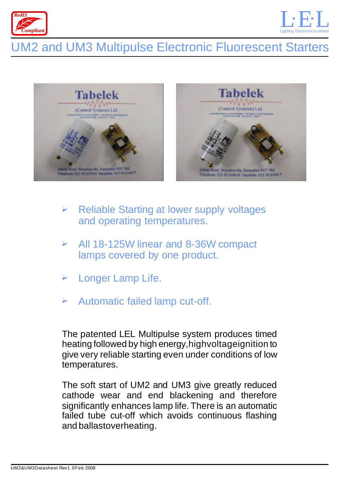



# UM2 and UM3 Multipulse Electronic Fluorescent Starters



- $\blacktriangleright$ Reliable Starting at lower supply voltages and operating temperatures.
- $\blacktriangleright$ All 18-125W linear and 8-36W compact lamps covered by one product.
- $\blacktriangleright$ Longer Lamp Life.
- $\blacktriangleright$ Automatic failed lamp cut-off.

The patented LEL Multipulse system produces timed heating followed by high energy,highvoltageignition to give very reliable starting even under conditions of low temperatures.

The soft start of UM2 and UM3 give greatly reduced cathode wear and end blackening and therefore significantly enhances lamp life. There is an automatic failed tube cut-off which avoids continuous flashing and ballastoverheating.